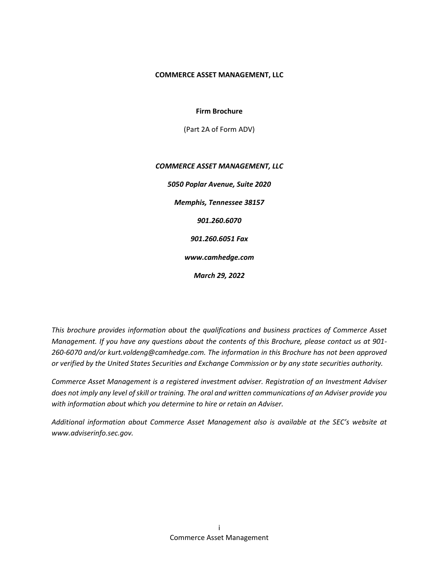#### COMMERCE ASSET MANAGEMENT, LLC

Firm Brochure

(Part 2A of Form ADV)

# COMMERCE ASSET MANAGEMENT, LLC 5050 Poplar Avenue, Suite 2020 Memphis, Tennessee 38157 901.260.6070 901.260.6051 Fax www.camhedge.com March 29, 2022

This brochure provides information about the qualifications and business practices of Commerce Asset Management. If you have any questions about the contents of this Brochure, please contact us at 901- 260-6070 and/or kurt.voldeng@camhedge.com. The information in this Brochure has not been approved or verified by the United States Securities and Exchange Commission or by any state securities authority.

Commerce Asset Management is a registered investment adviser. Registration of an Investment Adviser does not imply any level of skill or training. The oral and written communications of an Adviser provide you with information about which you determine to hire or retain an Adviser.

Additional information about Commerce Asset Management also is available at the SEC's website at www.adviserinfo.sec.gov.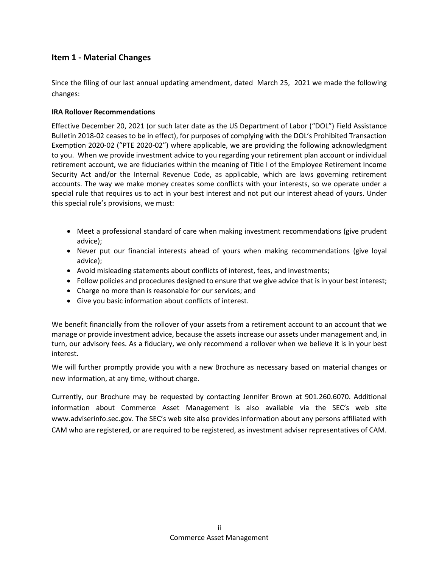## Item 1 - Material Changes

Since the filing of our last annual updating amendment, dated March 25, 2021 we made the following changes:

## IRA Rollover Recommendations

Effective December 20, 2021 (or such later date as the US Department of Labor ("DOL") Field Assistance Bulletin 2018-02 ceases to be in effect), for purposes of complying with the DOL's Prohibited Transaction Exemption 2020-02 ("PTE 2020-02") where applicable, we are providing the following acknowledgment to you. When we provide investment advice to you regarding your retirement plan account or individual retirement account, we are fiduciaries within the meaning of Title I of the Employee Retirement Income Security Act and/or the Internal Revenue Code, as applicable, which are laws governing retirement accounts. The way we make money creates some conflicts with your interests, so we operate under a special rule that requires us to act in your best interest and not put our interest ahead of yours. Under this special rule's provisions, we must:

- Meet a professional standard of care when making investment recommendations (give prudent advice);
- Never put our financial interests ahead of yours when making recommendations (give loyal advice);
- Avoid misleading statements about conflicts of interest, fees, and investments;
- Follow policies and procedures designed to ensure that we give advice that is in your best interest;
- Charge no more than is reasonable for our services; and
- Give you basic information about conflicts of interest.

We benefit financially from the rollover of your assets from a retirement account to an account that we manage or provide investment advice, because the assets increase our assets under management and, in turn, our advisory fees. As a fiduciary, we only recommend a rollover when we believe it is in your best interest.

We will further promptly provide you with a new Brochure as necessary based on material changes or new information, at any time, without charge.

Currently, our Brochure may be requested by contacting Jennifer Brown at 901.260.6070. Additional information about Commerce Asset Management is also available via the SEC's web site www.adviserinfo.sec.gov. The SEC's web site also provides information about any persons affiliated with CAM who are registered, or are required to be registered, as investment adviser representatives of CAM.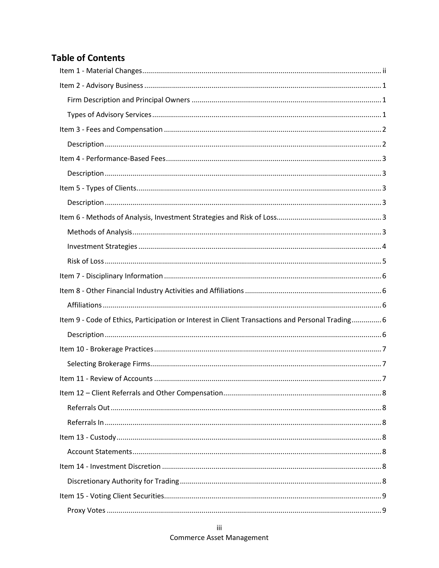# **Table of Contents**

| Item 9 - Code of Ethics, Participation or Interest in Client Transactions and Personal Trading 6 |  |
|--------------------------------------------------------------------------------------------------|--|
|                                                                                                  |  |
|                                                                                                  |  |
|                                                                                                  |  |
|                                                                                                  |  |
|                                                                                                  |  |
|                                                                                                  |  |
|                                                                                                  |  |
|                                                                                                  |  |
|                                                                                                  |  |
|                                                                                                  |  |
|                                                                                                  |  |
|                                                                                                  |  |
|                                                                                                  |  |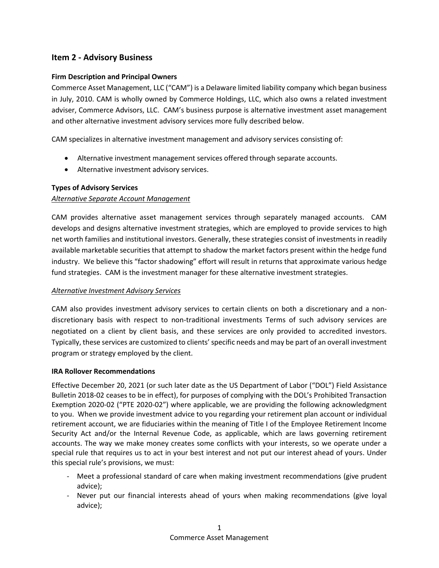## Item 2 - Advisory Business

## Firm Description and Principal Owners

Commerce Asset Management, LLC ("CAM") is a Delaware limited liability company which began business in July, 2010. CAM is wholly owned by Commerce Holdings, LLC, which also owns a related investment adviser, Commerce Advisors, LLC. CAM's business purpose is alternative investment asset management and other alternative investment advisory services more fully described below.

CAM specializes in alternative investment management and advisory services consisting of:

- Alternative investment management services offered through separate accounts.
- Alternative investment advisory services.

## Types of Advisory Services

## Alternative Separate Account Management

CAM provides alternative asset management services through separately managed accounts. CAM develops and designs alternative investment strategies, which are employed to provide services to high net worth families and institutional investors. Generally, these strategies consist of investments in readily available marketable securities that attempt to shadow the market factors present within the hedge fund industry. We believe this "factor shadowing" effort will result in returns that approximate various hedge fund strategies. CAM is the investment manager for these alternative investment strategies.

## Alternative Investment Advisory Services

CAM also provides investment advisory services to certain clients on both a discretionary and a nondiscretionary basis with respect to non-traditional investments Terms of such advisory services are negotiated on a client by client basis, and these services are only provided to accredited investors. Typically, these services are customized to clients' specific needs and may be part of an overall investment program or strategy employed by the client.

## IRA Rollover Recommendations

Effective December 20, 2021 (or such later date as the US Department of Labor ("DOL") Field Assistance Bulletin 2018-02 ceases to be in effect), for purposes of complying with the DOL's Prohibited Transaction Exemption 2020-02 ("PTE 2020-02") where applicable, we are providing the following acknowledgment to you. When we provide investment advice to you regarding your retirement plan account or individual retirement account, we are fiduciaries within the meaning of Title I of the Employee Retirement Income Security Act and/or the Internal Revenue Code, as applicable, which are laws governing retirement accounts. The way we make money creates some conflicts with your interests, so we operate under a special rule that requires us to act in your best interest and not put our interest ahead of yours. Under this special rule's provisions, we must:

- Meet a professional standard of care when making investment recommendations (give prudent advice);
- Never put our financial interests ahead of yours when making recommendations (give loyal advice);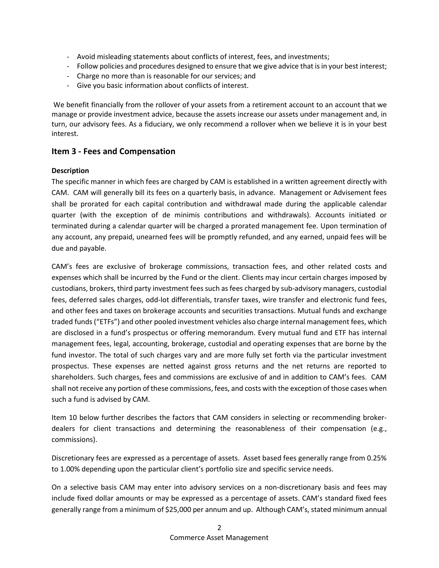- Avoid misleading statements about conflicts of interest, fees, and investments;
- Follow policies and procedures designed to ensure that we give advice that is in your best interest;
- Charge no more than is reasonable for our services; and
- Give you basic information about conflicts of interest.

 We benefit financially from the rollover of your assets from a retirement account to an account that we manage or provide investment advice, because the assets increase our assets under management and, in turn, our advisory fees. As a fiduciary, we only recommend a rollover when we believe it is in your best interest.

## Item 3 - Fees and Compensation

## Description

The specific manner in which fees are charged by CAM is established in a written agreement directly with CAM. CAM will generally bill its fees on a quarterly basis, in advance. Management or Advisement fees shall be prorated for each capital contribution and withdrawal made during the applicable calendar quarter (with the exception of de minimis contributions and withdrawals). Accounts initiated or terminated during a calendar quarter will be charged a prorated management fee. Upon termination of any account, any prepaid, unearned fees will be promptly refunded, and any earned, unpaid fees will be due and payable.

CAM's fees are exclusive of brokerage commissions, transaction fees, and other related costs and expenses which shall be incurred by the Fund or the client. Clients may incur certain charges imposed by custodians, brokers, third party investment fees such as fees charged by sub-advisory managers, custodial fees, deferred sales charges, odd-lot differentials, transfer taxes, wire transfer and electronic fund fees, and other fees and taxes on brokerage accounts and securities transactions. Mutual funds and exchange traded funds ("ETFs") and other pooled investment vehicles also charge internal management fees, which are disclosed in a fund's prospectus or offering memorandum. Every mutual fund and ETF has internal management fees, legal, accounting, brokerage, custodial and operating expenses that are borne by the fund investor. The total of such charges vary and are more fully set forth via the particular investment prospectus. These expenses are netted against gross returns and the net returns are reported to shareholders. Such charges, fees and commissions are exclusive of and in addition to CAM's fees. CAM shall not receive any portion of these commissions, fees, and costs with the exception of those cases when such a fund is advised by CAM.

Item 10 below further describes the factors that CAM considers in selecting or recommending brokerdealers for client transactions and determining the reasonableness of their compensation (e.g., commissions).

Discretionary fees are expressed as a percentage of assets. Asset based fees generally range from 0.25% to 1.00% depending upon the particular client's portfolio size and specific service needs.

On a selective basis CAM may enter into advisory services on a non-discretionary basis and fees may include fixed dollar amounts or may be expressed as a percentage of assets. CAM's standard fixed fees generally range from a minimum of \$25,000 per annum and up. Although CAM's, stated minimum annual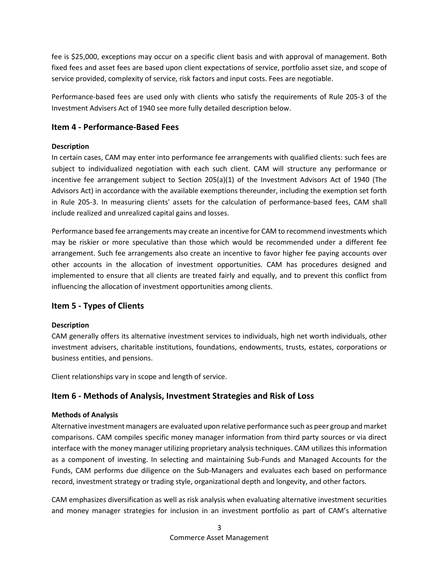fee is \$25,000, exceptions may occur on a specific client basis and with approval of management. Both fixed fees and asset fees are based upon client expectations of service, portfolio asset size, and scope of service provided, complexity of service, risk factors and input costs. Fees are negotiable.

Performance-based fees are used only with clients who satisfy the requirements of Rule 205-3 of the Investment Advisers Act of 1940 see more fully detailed description below.

## Item 4 - Performance-Based Fees

## Description

In certain cases, CAM may enter into performance fee arrangements with qualified clients: such fees are subject to individualized negotiation with each such client. CAM will structure any performance or incentive fee arrangement subject to Section 205(a)(1) of the Investment Advisors Act of 1940 (The Advisors Act) in accordance with the available exemptions thereunder, including the exemption set forth in Rule 205-3. In measuring clients' assets for the calculation of performance-based fees, CAM shall include realized and unrealized capital gains and losses.

Performance based fee arrangements may create an incentive for CAM to recommend investments which may be riskier or more speculative than those which would be recommended under a different fee arrangement. Such fee arrangements also create an incentive to favor higher fee paying accounts over other accounts in the allocation of investment opportunities. CAM has procedures designed and implemented to ensure that all clients are treated fairly and equally, and to prevent this conflict from influencing the allocation of investment opportunities among clients.

## Item 5 - Types of Clients

## Description

CAM generally offers its alternative investment services to individuals, high net worth individuals, other investment advisers, charitable institutions, foundations, endowments, trusts, estates, corporations or business entities, and pensions.

Client relationships vary in scope and length of service.

## Item 6 - Methods of Analysis, Investment Strategies and Risk of Loss

## Methods of Analysis

Alternative investment managers are evaluated upon relative performance such as peer group and market comparisons. CAM compiles specific money manager information from third party sources or via direct interface with the money manager utilizing proprietary analysis techniques. CAM utilizes this information as a component of investing. In selecting and maintaining Sub-Funds and Managed Accounts for the Funds, CAM performs due diligence on the Sub-Managers and evaluates each based on performance record, investment strategy or trading style, organizational depth and longevity, and other factors.

CAM emphasizes diversification as well as risk analysis when evaluating alternative investment securities and money manager strategies for inclusion in an investment portfolio as part of CAM's alternative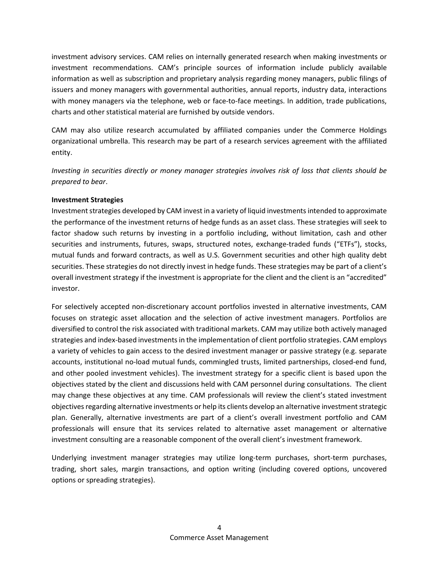investment advisory services. CAM relies on internally generated research when making investments or investment recommendations. CAM's principle sources of information include publicly available information as well as subscription and proprietary analysis regarding money managers, public filings of issuers and money managers with governmental authorities, annual reports, industry data, interactions with money managers via the telephone, web or face-to-face meetings. In addition, trade publications, charts and other statistical material are furnished by outside vendors.

CAM may also utilize research accumulated by affiliated companies under the Commerce Holdings organizational umbrella. This research may be part of a research services agreement with the affiliated entity.

Investing in securities directly or money manager strategies involves risk of loss that clients should be prepared to bear.

## Investment Strategies

Investment strategies developed by CAM invest in a variety of liquid investments intended to approximate the performance of the investment returns of hedge funds as an asset class. These strategies will seek to factor shadow such returns by investing in a portfolio including, without limitation, cash and other securities and instruments, futures, swaps, structured notes, exchange-traded funds ("ETFs"), stocks, mutual funds and forward contracts, as well as U.S. Government securities and other high quality debt securities. These strategies do not directly invest in hedge funds. These strategies may be part of a client's overall investment strategy if the investment is appropriate for the client and the client is an "accredited" investor.

For selectively accepted non-discretionary account portfolios invested in alternative investments, CAM focuses on strategic asset allocation and the selection of active investment managers. Portfolios are diversified to control the risk associated with traditional markets. CAM may utilize both actively managed strategies and index-based investments in the implementation of client portfolio strategies. CAM employs a variety of vehicles to gain access to the desired investment manager or passive strategy (e.g. separate accounts, institutional no-load mutual funds, commingled trusts, limited partnerships, closed-end fund, and other pooled investment vehicles). The investment strategy for a specific client is based upon the objectives stated by the client and discussions held with CAM personnel during consultations. The client may change these objectives at any time. CAM professionals will review the client's stated investment objectives regarding alternative investments or help its clients develop an alternative investment strategic plan. Generally, alternative investments are part of a client's overall investment portfolio and CAM professionals will ensure that its services related to alternative asset management or alternative investment consulting are a reasonable component of the overall client's investment framework.

Underlying investment manager strategies may utilize long-term purchases, short-term purchases, trading, short sales, margin transactions, and option writing (including covered options, uncovered options or spreading strategies).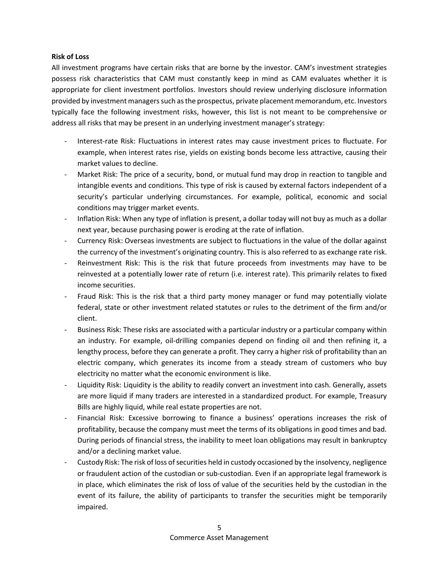#### Risk of Loss

All investment programs have certain risks that are borne by the investor. CAM's investment strategies possess risk characteristics that CAM must constantly keep in mind as CAM evaluates whether it is appropriate for client investment portfolios. Investors should review underlying disclosure information provided by investment managers such as the prospectus, private placement memorandum, etc. Investors typically face the following investment risks, however, this list is not meant to be comprehensive or address all risks that may be present in an underlying investment manager's strategy:

- Interest-rate Risk: Fluctuations in interest rates may cause investment prices to fluctuate. For example, when interest rates rise, yields on existing bonds become less attractive, causing their market values to decline.
- Market Risk: The price of a security, bond, or mutual fund may drop in reaction to tangible and intangible events and conditions. This type of risk is caused by external factors independent of a security's particular underlying circumstances. For example, political, economic and social conditions may trigger market events.
- Inflation Risk: When any type of inflation is present, a dollar today will not buy as much as a dollar next year, because purchasing power is eroding at the rate of inflation.
- Currency Risk: Overseas investments are subject to fluctuations in the value of the dollar against the currency of the investment's originating country. This is also referred to as exchange rate risk.
- Reinvestment Risk: This is the risk that future proceeds from investments may have to be reinvested at a potentially lower rate of return (i.e. interest rate). This primarily relates to fixed income securities.
- Fraud Risk: This is the risk that a third party money manager or fund may potentially violate federal, state or other investment related statutes or rules to the detriment of the firm and/or client.
- Business Risk: These risks are associated with a particular industry or a particular company within an industry. For example, oil-drilling companies depend on finding oil and then refining it, a lengthy process, before they can generate a profit. They carry a higher risk of profitability than an electric company, which generates its income from a steady stream of customers who buy electricity no matter what the economic environment is like.
- Liquidity Risk: Liquidity is the ability to readily convert an investment into cash. Generally, assets are more liquid if many traders are interested in a standardized product. For example, Treasury Bills are highly liquid, while real estate properties are not.
- Financial Risk: Excessive borrowing to finance a business' operations increases the risk of profitability, because the company must meet the terms of its obligations in good times and bad. During periods of financial stress, the inability to meet loan obligations may result in bankruptcy and/or a declining market value.
- Custody Risk: The risk of loss of securities held in custody occasioned by the insolvency, negligence or fraudulent action of the custodian or sub-custodian. Even if an appropriate legal framework is in place, which eliminates the risk of loss of value of the securities held by the custodian in the event of its failure, the ability of participants to transfer the securities might be temporarily impaired.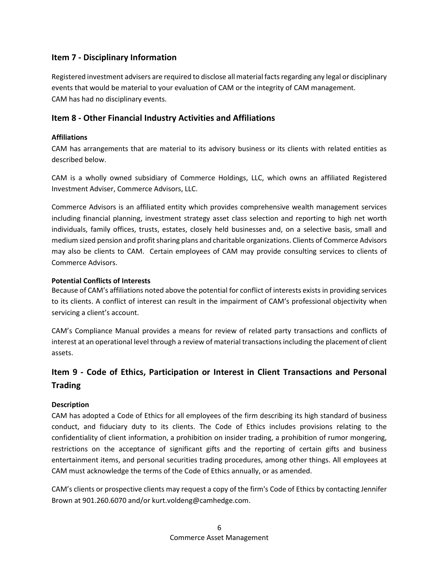## Item 7 - Disciplinary Information

Registered investment advisers are required to disclose all material facts regarding any legal or disciplinary events that would be material to your evaluation of CAM or the integrity of CAM management. CAM has had no disciplinary events.

## Item 8 - Other Financial Industry Activities and Affiliations

## Affiliations

CAM has arrangements that are material to its advisory business or its clients with related entities as described below.

CAM is a wholly owned subsidiary of Commerce Holdings, LLC, which owns an affiliated Registered Investment Adviser, Commerce Advisors, LLC.

Commerce Advisors is an affiliated entity which provides comprehensive wealth management services including financial planning, investment strategy asset class selection and reporting to high net worth individuals, family offices, trusts, estates, closely held businesses and, on a selective basis, small and medium sized pension and profit sharing plans and charitable organizations. Clients of Commerce Advisors may also be clients to CAM. Certain employees of CAM may provide consulting services to clients of Commerce Advisors.

## Potential Conflicts of Interests

Because of CAM's affiliations noted above the potential for conflict of interests exists in providing services to its clients. A conflict of interest can result in the impairment of CAM's professional objectivity when servicing a client's account.

CAM's Compliance Manual provides a means for review of related party transactions and conflicts of interest at an operational level through a review of material transactions including the placement of client assets.

## Item 9 - Code of Ethics, Participation or Interest in Client Transactions and Personal **Trading**

## Description

CAM has adopted a Code of Ethics for all employees of the firm describing its high standard of business conduct, and fiduciary duty to its clients. The Code of Ethics includes provisions relating to the confidentiality of client information, a prohibition on insider trading, a prohibition of rumor mongering, restrictions on the acceptance of significant gifts and the reporting of certain gifts and business entertainment items, and personal securities trading procedures, among other things. All employees at CAM must acknowledge the terms of the Code of Ethics annually, or as amended.

CAM's clients or prospective clients may request a copy of the firm's Code of Ethics by contacting Jennifer Brown at 901.260.6070 and/or kurt.voldeng@camhedge.com.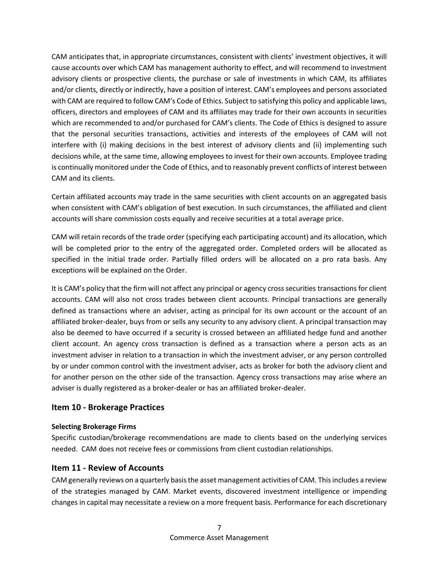CAM anticipates that, in appropriate circumstances, consistent with clients' investment objectives, it will cause accounts over which CAM has management authority to effect, and will recommend to investment advisory clients or prospective clients, the purchase or sale of investments in which CAM, its affiliates and/or clients, directly or indirectly, have a position of interest. CAM's employees and persons associated with CAM are required to follow CAM's Code of Ethics. Subject to satisfying this policy and applicable laws, officers, directors and employees of CAM and its affiliates may trade for their own accounts in securities which are recommended to and/or purchased for CAM's clients. The Code of Ethics is designed to assure that the personal securities transactions, activities and interests of the employees of CAM will not interfere with (i) making decisions in the best interest of advisory clients and (ii) implementing such decisions while, at the same time, allowing employees to invest for their own accounts. Employee trading is continually monitored under the Code of Ethics, and to reasonably prevent conflicts of interest between CAM and its clients.

Certain affiliated accounts may trade in the same securities with client accounts on an aggregated basis when consistent with CAM's obligation of best execution. In such circumstances, the affiliated and client accounts will share commission costs equally and receive securities at a total average price.

CAM will retain records of the trade order (specifying each participating account) and its allocation, which will be completed prior to the entry of the aggregated order. Completed orders will be allocated as specified in the initial trade order. Partially filled orders will be allocated on a pro rata basis. Any exceptions will be explained on the Order.

It is CAM's policy that the firm will not affect any principal or agency cross securities transactions for client accounts. CAM will also not cross trades between client accounts. Principal transactions are generally defined as transactions where an adviser, acting as principal for its own account or the account of an affiliated broker-dealer, buys from or sells any security to any advisory client. A principal transaction may also be deemed to have occurred if a security is crossed between an affiliated hedge fund and another client account. An agency cross transaction is defined as a transaction where a person acts as an investment adviser in relation to a transaction in which the investment adviser, or any person controlled by or under common control with the investment adviser, acts as broker for both the advisory client and for another person on the other side of the transaction. Agency cross transactions may arise where an adviser is dually registered as a broker-dealer or has an affiliated broker-dealer.

## Item 10 - Brokerage Practices

## Selecting Brokerage Firms

Specific custodian/brokerage recommendations are made to clients based on the underlying services needed. CAM does not receive fees or commissions from client custodian relationships.

## Item 11 - Review of Accounts

CAM generally reviews on a quarterly basis the asset management activities of CAM. This includes a review of the strategies managed by CAM. Market events, discovered investment intelligence or impending changes in capital may necessitate a review on a more frequent basis. Performance for each discretionary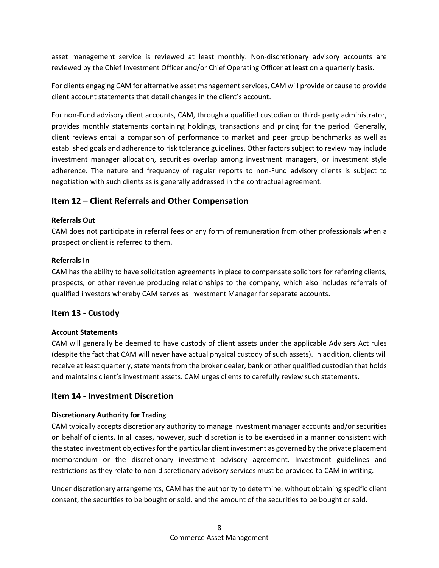asset management service is reviewed at least monthly. Non-discretionary advisory accounts are reviewed by the Chief Investment Officer and/or Chief Operating Officer at least on a quarterly basis.

For clients engaging CAM for alternative asset management services, CAM will provide or cause to provide client account statements that detail changes in the client's account.

For non-Fund advisory client accounts, CAM, through a qualified custodian or third- party administrator, provides monthly statements containing holdings, transactions and pricing for the period. Generally, client reviews entail a comparison of performance to market and peer group benchmarks as well as established goals and adherence to risk tolerance guidelines. Other factors subject to review may include investment manager allocation, securities overlap among investment managers, or investment style adherence. The nature and frequency of regular reports to non-Fund advisory clients is subject to negotiation with such clients as is generally addressed in the contractual agreement.

## Item 12 – Client Referrals and Other Compensation

## Referrals Out

CAM does not participate in referral fees or any form of remuneration from other professionals when a prospect or client is referred to them.

## Referrals In

CAM has the ability to have solicitation agreements in place to compensate solicitors for referring clients, prospects, or other revenue producing relationships to the company, which also includes referrals of qualified investors whereby CAM serves as Investment Manager for separate accounts.

## Item 13 - Custody

## Account Statements

CAM will generally be deemed to have custody of client assets under the applicable Advisers Act rules (despite the fact that CAM will never have actual physical custody of such assets). In addition, clients will receive at least quarterly, statements from the broker dealer, bank or other qualified custodian that holds and maintains client's investment assets. CAM urges clients to carefully review such statements.

## Item 14 - Investment Discretion

## Discretionary Authority for Trading

CAM typically accepts discretionary authority to manage investment manager accounts and/or securities on behalf of clients. In all cases, however, such discretion is to be exercised in a manner consistent with the stated investment objectives for the particular client investment as governed by the private placement memorandum or the discretionary investment advisory agreement. Investment guidelines and restrictions as they relate to non-discretionary advisory services must be provided to CAM in writing.

Under discretionary arrangements, CAM has the authority to determine, without obtaining specific client consent, the securities to be bought or sold, and the amount of the securities to be bought or sold.